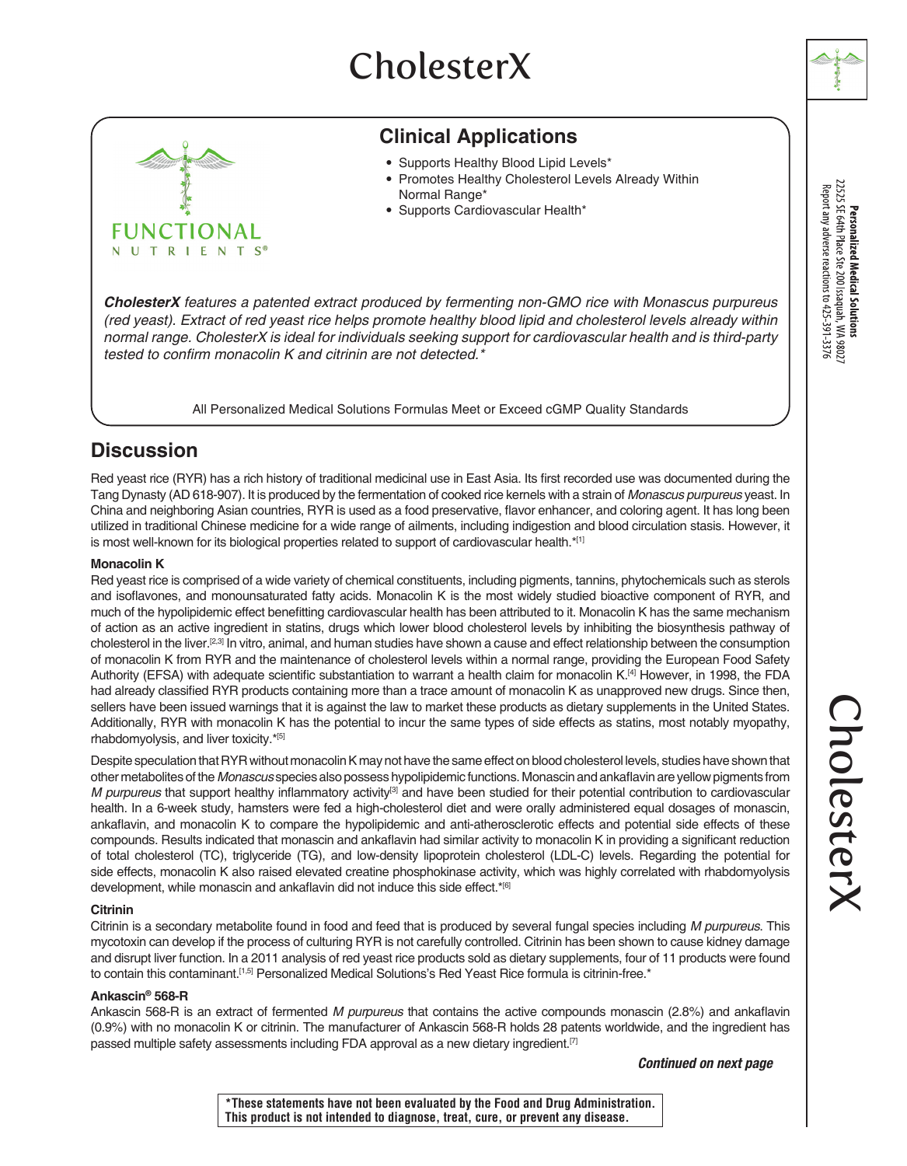# **CholesterX**



## **Clinical Applications**

- Supports Healthy Blood Lipid Levels\*
- Promotes Healthy Cholesterol Levels Already Within Normal Range\*
- Supports Cardiovascular Health\*

*CholesterX features a patented extract produced by fermenting non-GMO rice with Monascus purpureus (red yeast). Extract of red yeast rice helps promote healthy blood lipid and cholesterol levels already within normal range. CholesterX is ideal for individuals seeking support for cardiovascular health and is third-party*  tested to confirm monacolin K and citrinin are not detected.\*

All Personalized Medical Solutions Formulas Meet or Exceed cGMP Quality Standards

## **Discussion**

Red yeast rice (RYR) has a rich history of traditional medicinal use in East Asia. Its first recorded use was documented during the Tang Dynasty (AD 618-907). It is produced by the fermentation of cooked rice kernels with a strain of *Monascus purpureus* yeast. In China and neighboring Asian countries, RYR is used as a food preservative, flavor enhancer, and coloring agent. It has long been utilized in traditional Chinese medicine for a wide range of ailments, including indigestion and blood circulation stasis. However, it is most well-known for its biological properties related to support of cardiovascular health.\*[1]

### **Monacolin K**

Red yeast rice is comprised of a wide variety of chemical constituents, including pigments, tannins, phytochemicals such as sterols and isoflavones, and monounsaturated fatty acids. Monacolin K is the most widely studied bioactive component of RYR, and much of the hypolipidemic effect benefitting cardiovascular health has been attributed to it. Monacolin K has the same mechanism of action as an active ingredient in statins, drugs which lower blood cholesterol levels by inhibiting the biosynthesis pathway of cholesterol in the liver.[2,3] In vitro, animal, and human studies have shown a cause and effect relationship between the consumption of monacolin K from RYR and the maintenance of cholesterol levels within a normal range, providing the European Food Safety Authority (EFSA) with adequate scientific substantiation to warrant a health claim for monacolin K.[4] However, in 1998, the FDA had already classified RYR products containing more than a trace amount of monacolin K as unapproved new drugs. Since then, sellers have been issued warnings that it is against the law to market these products as dietary supplements in the United States. Additionally, RYR with monacolin K has the potential to incur the same types of side effects as statins, most notably myopathy, rhabdomyolysis, and liver toxicity.\*[5]

Despite speculation that RYR without monacolin K may not have the same effect on blood cholesterol levels, studies have shown that other metabolites of the *Monascus* species also possess hypolipidemic functions. Monascin and ankaflavin are yellow pigments from *M purpureus* that support healthy inflammatory activity<sup>[3]</sup> and have been studied for their potential contribution to cardiovascular health. In a 6-week study, hamsters were fed a high-cholesterol diet and were orally administered equal dosages of monascin, ankaflavin, and monacolin K to compare the hypolipidemic and anti-atherosclerotic effects and potential side effects of these compounds. Results indicated that monascin and ankaflavin had similar activity to monacolin K in providing a significant reduction of total cholesterol (TC), triglyceride (TG), and low-density lipoprotein cholesterol (LDL-C) levels. Regarding the potential for side effects, monacolin K also raised elevated creatine phosphokinase activity, which was highly correlated with rhabdomyolysis development, while monascin and ankaflavin did not induce this side effect.\*[6]

### **Citrinin**

Citrinin is a secondary metabolite found in food and feed that is produced by several fungal species including *M purpureus*. This mycotoxin can develop if the process of culturing RYR is not carefully controlled. Citrinin has been shown to cause kidney damage and disrupt liver function. In a 2011 analysis of red yeast rice products sold as dietary supplements, four of 11 products were found to contain this contaminant.<sup>[1,5]</sup> Personalized Medical Solutions's Red Yeast Rice formula is citrinin-free.\*

### **Ankascin® 568-R**

Ankascin 568-R is an extract of fermented *M purpureus* that contains the active compounds monascin (2.8%) and ankaflavin (0.9%) with no monacolin K or citrinin. The manufacturer of Ankascin 568-R holds 28 patents worldwide, and the ingredient has passed multiple safety assessments including FDA approval as a new dietary ingredient.[7]

*Continued on next page*

**Personalized Medical Solutions**<br>22525 SE 64th Place Ste 200 Issaquah, WA 98027<br>Report any adverse reactions to 425-391-3376

**\*These statements have not been evaluated by the Food and Drug Administration. This product is not intended to diagnose, treat, cure, or prevent any disease.**